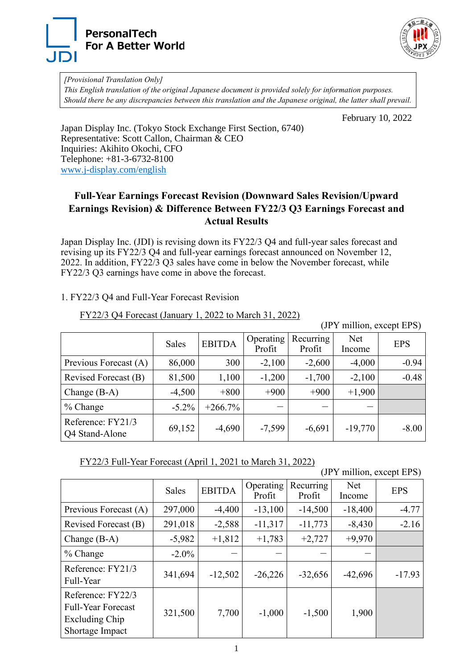



*[Provisional Translation Only] This English translation of the original Japanese document is provided solely for information purposes. Should there be any discrepancies between this translation and the Japanese original, the latter shall prevail.*

February 10, 2022

Japan Display Inc. (Tokyo Stock Exchange First Section, 6740) Representative: Scott Callon, Chairman & CEO Inquiries: Akihito Okochi, CFO Telephone: +81-3-6732-8100 [www.j-display.com/english](http://www.j-display.com/english/)

## **Full-Year Earnings Forecast Revision (Downward Sales Revision/Upward Earnings Revision) & Difference Between FY22/3 Q3 Earnings Forecast and Actual Results**

Japan Display Inc. (JDI) is revising down its FY22/3 Q4 and full-year sales forecast and revising up its FY22/3 Q4 and full-year earnings forecast announced on November 12, 2022. In addition, FY22/3 Q3 sales have come in below the November forecast, while FY22/3 Q3 earnings have come in above the forecast.

## 1. FY22/3 Q4 and Full-Year Forecast Revision

| FY22/3 Q4 Forecast (January 1, 2022 to March 31, 2022) |
|--------------------------------------------------------|
|--------------------------------------------------------|

(JPY million, except EPS)

|                                     | Sales    | <b>EBITDA</b> | Operating<br>Profit | Recurring<br>Profit | Net<br>Income | <b>EPS</b> |
|-------------------------------------|----------|---------------|---------------------|---------------------|---------------|------------|
| Previous Forecast (A)               | 86,000   | 300           | $-2,100$            | $-2,600$            | $-4,000$      | $-0.94$    |
| Revised Forecast (B)                | 81,500   | 1,100         | $-1,200$            | $-1,700$            | $-2,100$      | $-0.48$    |
| Change $(B-A)$                      | $-4,500$ | $+800$        | $+900$              | $+900$              | $+1,900$      |            |
| $%$ Change                          | $-5.2\%$ | $+266.7%$     |                     |                     |               |            |
| Reference: FY21/3<br>Q4 Stand-Alone | 69,152   | $-4,690$      | $-7,599$            | $-6,691$            | $-19,770$     | $-8.00$    |

| FY22/3 Full-Year Forecast (April 1, 2021 to March 31, 2022) |
|-------------------------------------------------------------|
|-------------------------------------------------------------|

(JPY million, except EPS)

|                                                                                     | Sales    | <b>EBITDA</b> | Operating<br>Profit | Recurring<br>Profit | Net<br>Income | <b>EPS</b> |
|-------------------------------------------------------------------------------------|----------|---------------|---------------------|---------------------|---------------|------------|
| Previous Forecast (A)                                                               | 297,000  | $-4,400$      | $-13,100$           | $-14,500$           | $-18,400$     | $-4.77$    |
| Revised Forecast (B)                                                                | 291,018  | $-2,588$      | $-11,317$           | $-11,773$           | $-8,430$      | $-2.16$    |
| Change $(B-A)$                                                                      | $-5,982$ | $+1,812$      | $+1,783$            | $+2,727$            | $+9,970$      |            |
| $%$ Change                                                                          | $-2.0\%$ |               |                     |                     |               |            |
| Reference: FY21/3<br>Full-Year                                                      | 341,694  | $-12,502$     | $-26,226$           | $-32,656$           | $-42,696$     | $-17.93$   |
| Reference: FY22/3<br><b>Full-Year Forecast</b><br>Excluding Chip<br>Shortage Impact | 321,500  | 7,700         | $-1,000$            | $-1,500$            | 1,900         |            |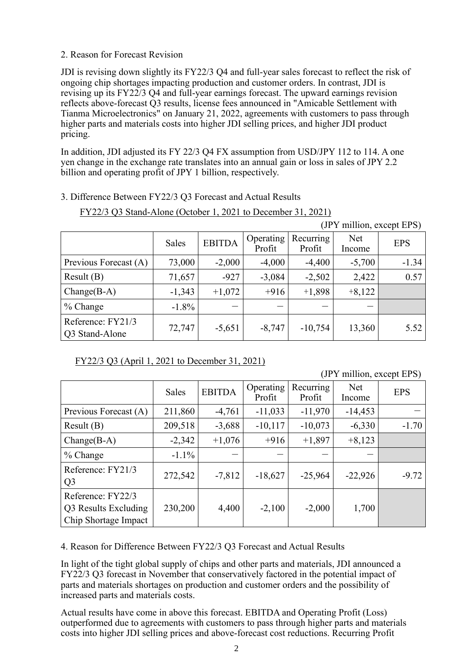## 2. Reason for Forecast Revision

JDI is revising down slightly its FY22/3 Q4 and full-year sales forecast to reflect the risk of ongoing chip shortages impacting production and customer orders. In contrast, JDI is revising up its FY22/3 Q4 and full-year earnings forecast. The upward earnings revision reflects above-forecast Q3 results, license fees announced in "Amicable Settlement with Tianma Microelectronics" on January 21, 2022, agreements with customers to pass through higher parts and materials costs into higher JDI selling prices, and higher JDI product pricing.

In addition, JDI adjusted its FY 22/3 Q4 FX assumption from USD/JPY 112 to 114. A one yen change in the exchange rate translates into an annual gain or loss in sales of JPY 2.2 billion and operating profit of JPY 1 billion, respectively.

## 3. Difference Between FY22/3 Q3 Forecast and Actual Results

| (JPY million, except EPS)           |              |               |                     |                     |               |            |
|-------------------------------------|--------------|---------------|---------------------|---------------------|---------------|------------|
|                                     | <b>Sales</b> | <b>EBITDA</b> | Operating<br>Profit | Recurring<br>Profit | Net<br>Income | <b>EPS</b> |
| Previous Forecast (A)               | 73,000       | $-2,000$      | $-4,000$            | $-4,400$            | $-5,700$      | $-1.34$    |
| Result(B)                           | 71,657       | $-927$        | $-3,084$            | $-2,502$            | 2,422         | 0.57       |
| $Change(B-A)$                       | $-1,343$     | $+1,072$      | $+916$              | $+1,898$            | $+8,122$      |            |
| $%$ Change                          | $-1.8\%$     |               |                     |                     |               |            |
| Reference: FY21/3<br>Q3 Stand-Alone | 72,747       | $-5,651$      | $-8,747$            | $-10,754$           | 13,360        | 5.52       |

FY22/3 Q3 (April 1, 2021 to December 31, 2021)

(JPY million, except EPS)

|                                                                   | Sales    | <b>EBITDA</b> | Operating<br>Profit | Recurring<br>Profit | <b>Net</b><br>Income | <b>EPS</b> |
|-------------------------------------------------------------------|----------|---------------|---------------------|---------------------|----------------------|------------|
| Previous Forecast (A)                                             | 211,860  | $-4,761$      | $-11,033$           | $-11,970$           | $-14,453$            |            |
| Result(B)                                                         | 209,518  | $-3,688$      | $-10,117$           | $-10,073$           | $-6,330$             | $-1.70$    |
| $Change(B-A)$                                                     | $-2,342$ | $+1,076$      | $+916$              | $+1,897$            | $+8,123$             |            |
| $%$ Change                                                        | $-1.1\%$ |               |                     |                     |                      |            |
| Reference: FY21/3<br>Q <sub>3</sub>                               | 272,542  | $-7,812$      | $-18,627$           | $-25,964$           | $-22,926$            | $-9.72$    |
| Reference: FY22/3<br>Q3 Results Excluding<br>Chip Shortage Impact | 230,200  | 4,400         | $-2,100$            | $-2,000$            | 1,700                |            |

4. Reason for Difference Between FY22/3 Q3 Forecast and Actual Results

In light of the tight global supply of chips and other parts and materials, JDI announced a FY22/3 Q3 forecast in November that conservatively factored in the potential impact of parts and materials shortages on production and customer orders and the possibility of increased parts and materials costs.

Actual results have come in above this forecast. EBITDA and Operating Profit (Loss) outperformed due to agreements with customers to pass through higher parts and materials costs into higher JDI selling prices and above-forecast cost reductions. Recurring Profit